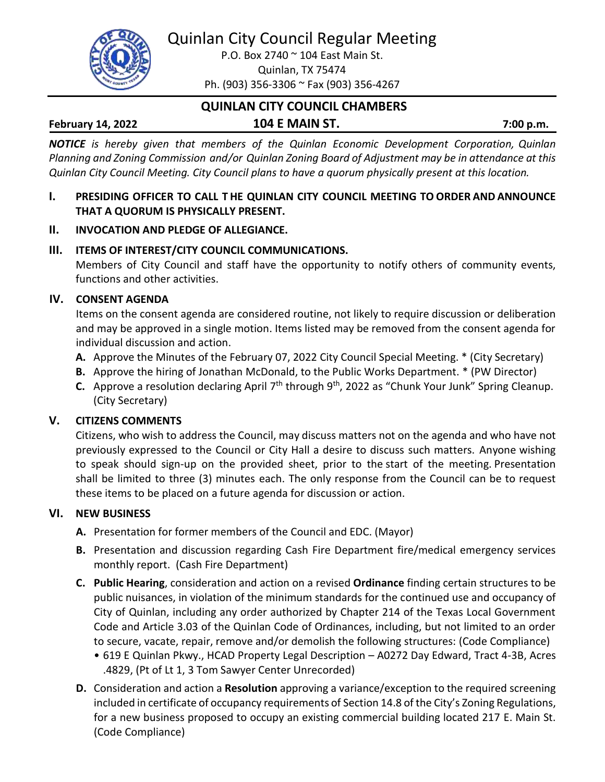Quinlan City Council Regular Meeting



P.O. Box 2740 ~ 104 East Main St. Quinlan, TX 75474 Ph. (903) 356-3306 ~ Fax (903) 356-4267

# **QUINLAN CITY COUNCIL CHAMBERS February 14, 2022 104 E MAIN ST. 7:00 p.m.**

*NOTICE is hereby given that members of the Quinlan Economic Development Corporation, Quinlan Planning and Zoning Commission and/or Quinlan Zoning Board of Adjustment may be in attendance at this Quinlan City Council Meeting. City Council plans to have a quorum physically present at this location.*

- **I. PRESIDING OFFICER TO CALL T HE QUINLAN CITY COUNCIL MEETING TO ORDER AND ANNOUNCE THAT A QUORUM IS PHYSICALLY PRESENT.**
- **II. INVOCATION AND PLEDGE OF ALLEGIANCE.**

## **III. ITEMS OF INTEREST/CITY COUNCIL COMMUNICATIONS.**

Members of City Council and staff have the opportunity to notify others of community events, functions and other activities.

## **IV. CONSENT AGENDA**

Items on the consent agenda are considered routine, not likely to require discussion or deliberation and may be approved in a single motion. Items listed may be removed from the consent agenda for individual discussion and action.

- **A.** Approve the Minutes of the February 07, 2022 City Council Special Meeting. \* (City Secretary)
- **B.** Approve the hiring of Jonathan McDonald, to the Public Works Department. \* (PW Director)
- C. Approve a resolution declaring April 7<sup>th</sup> through 9<sup>th</sup>, 2022 as "Chunk Your Junk" Spring Cleanup. (City Secretary)

## **V. CITIZENS COMMENTS**

Citizens, who wish to address the Council, may discuss matters not on the agenda and who have not previously expressed to the Council or City Hall a desire to discuss such matters. Anyone wishing to speak should sign-up on the provided sheet, prior to the start of the meeting. Presentation shall be limited to three (3) minutes each. The only response from the Council can be to request these items to be placed on a future agenda for discussion or action.

## **VI. NEW BUSINESS**

- **A.** Presentation for former members of the Council and EDC. (Mayor)
- **B.** Presentation and discussion regarding Cash Fire Department fire/medical emergency services monthly report. (Cash Fire Department)
- **C. Public Hearing**, consideration and action on a revised **Ordinance** finding certain structures to be public nuisances, in violation of the minimum standards for the continued use and occupancy of City of Quinlan, including any order authorized by Chapter 214 of the Texas Local Government Code and Article 3.03 of the Quinlan Code of Ordinances, including, but not limited to an order to secure, vacate, repair, remove and/or demolish the following structures: (Code Compliance)
	- 619 E Quinlan Pkwy., HCAD Property Legal Description A0272 Day Edward, Tract 4-3B, Acres .4829, (Pt of Lt 1, 3 Tom Sawyer Center Unrecorded)
- **D.** Consideration and action a **Resolution** approving a variance/exception to the required screening included in certificate of occupancy requirements of Section 14.8 of the City's Zoning Regulations, for a new business proposed to occupy an existing commercial building located 217 E. Main St. (Code Compliance)